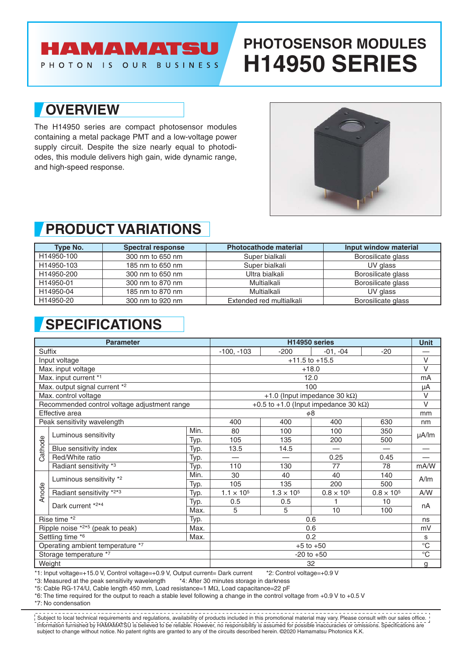### AMAMATSU PHOTON IS OUR BUSINESS

# **PHOTOSENSOR MODULES H14950 SERIES**

## **OVERVIEW**

The H14950 series are compact photosensor modules containing a metal package PMT and a low-voltage power supply circuit. Despite the size nearly equal to photodiodes, this module delivers high gain, wide dynamic range, and high-speed response.



## **PRODUCT VARIATIONS**

| Type No.   | <b>Spectral response</b> | <b>Photocathode material</b> | Input window material |  |  |
|------------|--------------------------|------------------------------|-----------------------|--|--|
| H14950-100 | 300 nm to 650 nm         | Super bialkali               | Borosilicate glass    |  |  |
| H14950-103 | 185 nm to 650 nm         | Super bialkali               | UV glass              |  |  |
| H14950-200 | 300 nm to 650 nm         | Ultra bialkali               | Borosilicate glass    |  |  |
| H14950-01  | 300 nm to 870 nm         | Multialkali                  | Borosilicate glass    |  |  |
| H14950-04  | 185 nm to 870 nm         | Multialkali                  | UV glass              |  |  |
| H14950-20  | 300 nm to 920 nm         | Extended red multialkali     | Borosilicate glass    |  |  |

# **SPECIFICATIONS**

| <b>Parameter</b>                             |                                                                                                                                                                                                                                                                                                                                                                                                                             |      | H14950 series                                 |                            |                          |                     | <b>Unit</b>              |
|----------------------------------------------|-----------------------------------------------------------------------------------------------------------------------------------------------------------------------------------------------------------------------------------------------------------------------------------------------------------------------------------------------------------------------------------------------------------------------------|------|-----------------------------------------------|----------------------------|--------------------------|---------------------|--------------------------|
| <b>Suffix</b>                                |                                                                                                                                                                                                                                                                                                                                                                                                                             |      | $-100, -103$                                  | $-200$                     | $-01, -04$               | $-20$               |                          |
| Input voltage                                |                                                                                                                                                                                                                                                                                                                                                                                                                             |      | $+11.5$ to $+15.5$                            |                            |                          |                     | $\vee$                   |
| Max. input voltage                           |                                                                                                                                                                                                                                                                                                                                                                                                                             |      | $+18.0$                                       |                            |                          |                     | $\vee$                   |
| Max. input current *1                        |                                                                                                                                                                                                                                                                                                                                                                                                                             |      | 12.0                                          |                            |                          |                     | mA                       |
| Max. output signal current *2                |                                                                                                                                                                                                                                                                                                                                                                                                                             |      | 100                                           |                            |                          |                     | μA                       |
| Max. control voltage                         |                                                                                                                                                                                                                                                                                                                                                                                                                             |      | +1.0 (Input impedance 30 k $\Omega$ )         |                            |                          |                     | $\vee$                   |
| Recommended control voltage adjustment range |                                                                                                                                                                                                                                                                                                                                                                                                                             |      | +0.5 to +1.0 (lnput impedance 30 k $\Omega$ ) |                            |                          |                     | $\vee$                   |
| Effective area                               |                                                                                                                                                                                                                                                                                                                                                                                                                             |      | $\phi$ 8                                      |                            |                          |                     | mm                       |
| Peak sensitivity wavelength                  |                                                                                                                                                                                                                                                                                                                                                                                                                             |      | 400                                           | 400                        | 400                      | 630                 | nm                       |
| Cathode                                      | Luminous sensitivity                                                                                                                                                                                                                                                                                                                                                                                                        | Min. | 80                                            | 100                        | 100                      | 350                 | $\mu$ A/lm               |
|                                              |                                                                                                                                                                                                                                                                                                                                                                                                                             | Typ. | 105                                           | 135                        | 200                      | 500                 |                          |
|                                              | Blue sensitivity index                                                                                                                                                                                                                                                                                                                                                                                                      | Typ. | 13.5                                          | 14.5                       | $\overline{\phantom{0}}$ |                     | $\overline{\phantom{0}}$ |
|                                              | Red/White ratio                                                                                                                                                                                                                                                                                                                                                                                                             | Typ. |                                               |                            | 0.25                     | 0.45                |                          |
|                                              | Radiant sensitivity *3                                                                                                                                                                                                                                                                                                                                                                                                      | Typ. | 110                                           | 130                        | 77                       | 78                  | mA/W                     |
| Anode                                        | Luminous sensitivity *2                                                                                                                                                                                                                                                                                                                                                                                                     | Min. | 30                                            | 40                         | 40                       | 140                 | A/m                      |
|                                              |                                                                                                                                                                                                                                                                                                                                                                                                                             | Typ. | 105                                           | 135                        | 200                      | 500                 |                          |
|                                              | Radiant sensitivity *2*3                                                                                                                                                                                                                                                                                                                                                                                                    | Typ. | $1.1 \times 10^{5}$                           | $1.3 \times 10^{5}$        | $0.8 \times 10^{5}$      | $0.8 \times 10^{5}$ | A/W                      |
|                                              | Dark current *2*4                                                                                                                                                                                                                                                                                                                                                                                                           | Typ. | 0.5                                           | 0.5                        |                          | 10                  | nA                       |
|                                              |                                                                                                                                                                                                                                                                                                                                                                                                                             | Max. | 5                                             | 5                          | 10                       | 100                 |                          |
| Rise time *2<br>Typ.                         |                                                                                                                                                                                                                                                                                                                                                                                                                             | 0.6  |                                               |                            |                          | ns                  |                          |
| Ripple noise *2*5 (peak to peak)<br>Max.     |                                                                                                                                                                                                                                                                                                                                                                                                                             | 0.6  |                                               |                            |                          | mV                  |                          |
| Settling time *6<br>Max.                     |                                                                                                                                                                                                                                                                                                                                                                                                                             |      | 0.2                                           |                            |                          |                     | s                        |
| Operating ambient temperature *7             |                                                                                                                                                                                                                                                                                                                                                                                                                             |      | $+5$ to $+50$                                 |                            |                          |                     | $\overline{C}$           |
| Storage temperature *7                       |                                                                                                                                                                                                                                                                                                                                                                                                                             |      | $-20$ to $+50$                                |                            |                          |                     | $\overline{C}$           |
| Weight                                       |                                                                                                                                                                                                                                                                                                                                                                                                                             |      | 32                                            |                            |                          |                     | g                        |
|                                              | *1: Input voltage=+15.0 V, Control voltage=+0.9 V, Output current= Dark current<br>*3: Measured at the peak sensitivity wavelength *4: After 30 minutes storage in darkness<br>*5: Cable RG-174/U, Cable length 450 mm, Load resistance=1 MΩ, Load capacitance=22 pF<br>*6: The time required for the output to reach a stable level following a change in the control voltage from +0.9 V to +0.5 V<br>*7: No condensation |      |                                               | *2: Control voltage=+0.9 V |                          |                     |                          |

Information furnished by HAMAMATSU is believed to be reliable. However, no responsibility is assumed for possible inaccuracies or omissions. Specifications are subject to change without notice. No patent rights are granted to any of the circuits described herein. ©2020 Hamamatsu Photonics K.K. Subject to local technical requirements and regulations, availability of products included in this promotional material may vary. Please consult with our sales office.